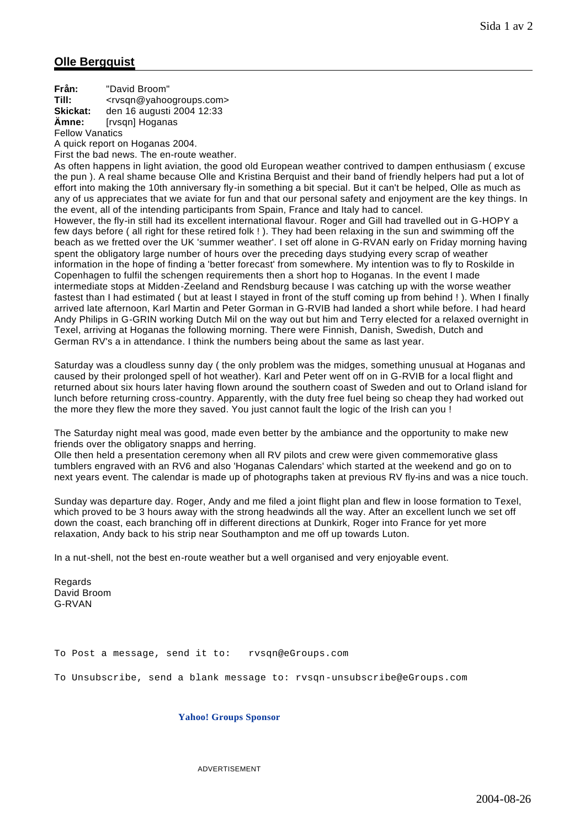## **Olle Bergquist**

**Från:** "David Broom" **Till:** <rvsqn@yahoogroups.com> **Skickat:** den 16 augusti 2004 12:33 **Ämne:** [rvsqn] Hoganas Fellow Vanatics

A quick report on Hoganas 2004. First the bad news. The en-route weather.

As often happens in light aviation, the good old European weather contrived to dampen enthusiasm ( excuse the pun ). A real shame because Olle and Kristina Berquist and their band of friendly helpers had put a lot of effort into making the 10th anniversary fly-in something a bit special. But it can't be helped, Olle as much as any of us appreciates that we aviate for fun and that our personal safety and enjoyment are the key things. In the event, all of the intending participants from Spain, France and Italy had to cancel.

However, the fly-in still had its excellent international flavour. Roger and Gill had travelled out in G-HOPY a few days before ( all right for these retired folk ! ). They had been relaxing in the sun and swimming off the beach as we fretted over the UK 'summer weather'. I set off alone in G-RVAN early on Friday morning having spent the obligatory large number of hours over the preceding days studying every scrap of weather information in the hope of finding a 'better forecast' from somewhere. My intention was to fly to Roskilde in Copenhagen to fulfil the schengen requirements then a short hop to Hoganas. In the event I made intermediate stops at Midden-Zeeland and Rendsburg because I was catching up with the worse weather fastest than I had estimated ( but at least I stayed in front of the stuff coming up from behind ! ). When I finally arrived late afternoon, Karl Martin and Peter Gorman in G-RVIB had landed a short while before. I had heard Andy Philips in G-GRIN working Dutch Mil on the way out but him and Terry elected for a relaxed overnight in Texel, arriving at Hoganas the following morning. There were Finnish, Danish, Swedish, Dutch and German RV's a in attendance. I think the numbers being about the same as last year.

Saturday was a cloudless sunny day ( the only problem was the midges, something unusual at Hoganas and caused by their prolonged spell of hot weather). Karl and Peter went off on in G-RVIB for a local flight and returned about six hours later having flown around the southern coast of Sweden and out to Orland island for lunch before returning cross-country. Apparently, with the duty free fuel being so cheap they had worked out the more they flew the more they saved. You just cannot fault the logic of the Irish can you !

The Saturday night meal was good, made even better by the ambiance and the opportunity to make new friends over the obligatory snapps and herring.

Olle then held a presentation ceremony when all RV pilots and crew were given commemorative glass tumblers engraved with an RV6 and also 'Hoganas Calendars' which started at the weekend and go on to next years event. The calendar is made up of photographs taken at previous RV fly-ins and was a nice touch.

Sunday was departure day. Roger, Andy and me filed a joint flight plan and flew in loose formation to Texel, which proved to be 3 hours away with the strong headwinds all the way. After an excellent lunch we set off down the coast, each branching off in different directions at Dunkirk, Roger into France for yet more relaxation, Andy back to his strip near Southampton and me off up towards Luton.

In a nut-shell, not the best en-route weather but a well organised and very enjoyable event.

**Regards** David Broom G-RVAN

To Post a message, send it to: rvsqn@eGroups.com

To Unsubscribe, send a blank message to: rvsqn-unsubscribe@eGroups.com

**Yahoo! Groups Sponsor**

ADVERTISEMENT